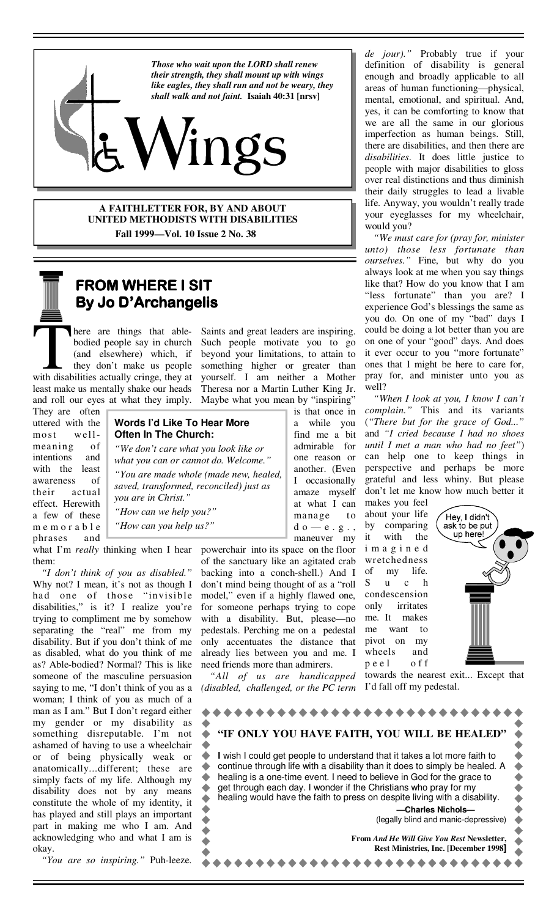

ings

**A FAITHLETTER FOR, BY AND ABOUT UNITED METHODISTS WITH DISABILITIES** 

 **Fall 1999—Vol. 10 Issue 2 No. 38** 

### **FROM WHERE I SIT By Jo D'Archangelis**

There are things that able-<br>bodied people say in church<br>(and elsewhere) which, if<br>they don't make us people<br>with disabilities actually cringe, they at bodied people say in church (and elsewhere) which, if they don't make us people least make us mentally shake our heads and roll our eyes at what they imply.

They are often uttered with the most wellmeaning of intentions and with the least awareness of their actual effect. Herewith a few of these m e m o r a b l e phrases and

**Often In The Church:**  *"We don't care what you look like or* 

*"You are made whole (made new, healed, saved, transformed, reconciled) just as you are in Christ." "How can we help you?"* 

*"How can you help us?"* 

what I'm *really* thinking when I hear them:

*"I don't think of you as disabled."* Why not? I mean, it's not as though I had one of those "invisible disabilities," is it? I realize you're trying to compliment me by somehow separating the "real" me from my disability. But if you don't think of me as disabled, what do you think of me as? Able-bodied? Normal? This is like someone of the masculine persuasion saying to me, "I don't think of you as a woman; I think of you as much of a man as I am." But I don't regard either my gender or my disability as something disreputable. I'm not ashamed of having to use a wheelchair or of being physically weak or anatomically...different; these are simply facts of my life. Although my disability does not by any means constitute the whole of my identity, it has played and still plays an important part in making me who I am. And acknowledging who and what I am is okay.

 *"You are so inspiring."* Puh-leeze.

Saints and great leaders are inspiring. Such people motivate you to go beyond your limitations, to attain to something higher or greater than yourself. I am neither a Mother Theresa nor a Martin Luther King Jr. Maybe what you mean by "inspiring"

# **Words I'd Like To Hear More**

*what you can or cannot do. Welcome."* 

powerchair into its space on the floor of the sanctuary like an agitated crab backing into a conch-shell.) And I don't mind being thought of as a "roll model," even if a highly flawed one, for someone perhaps trying to cope with a disability. But, please—no pedestals. Perching me on a pedestal only accentuates the distance that already lies between you and me. I need friends more than admirers.

 *"All of us are handicapped (disabled, challenged, or the PC term*  *de jour)."* Probably true if your definition of disability is general enough and broadly applicable to all areas of human functioning—physical, mental, emotional, and spiritual. And, yes, it can be comforting to know that we are all the same in our glorious imperfection as human beings. Still, there are disabilities, and then there are *disabilities*. It does little justice to people with major disabilities to gloss over real distinctions and thus diminish their daily struggles to lead a livable life. Anyway, you wouldn't really trade your eyeglasses for my wheelchair, would you?

 *"We must care for (pray for, minister unto) those less fortunate than ourselves."* Fine, but why do you always look at me when you say things like that? How do you know that I am "less fortunate" than you are? I experience God's blessings the same as you do. On one of my "bad" days I could be doing a lot better than you are on one of your "good" days. And does it ever occur to you "more fortunate" ones that I might be here to care for, pray for, and minister unto you as well?

 *"When I look at you, I know I can't complain."* This and its variants (*"There but for the grace of God..."* and *"I cried because I had no shoes until I met a man who had no feet"*) can help one to keep things in perspective and perhaps be more grateful and less whiny. But please don't let me know how much better it

makes you feel about your life by comparing it with the i m a g i n e d wretchedness of my life. S u c h condescension only irritates me. It makes me want to pivot on my wheels and p e e l o f f



 $\bullet\hspace{0.1cm} \bullet\hspace{0.1cm} \bullet\hspace{0.1cm} \bullet\hspace{0.1cm} \bullet$ 

towards the nearest exit... Except that I'd fall off my pedestal.

| "IF ONLY YOU HAVE FAITH, YOU WILL BE HEALED"                                                                                                                                                                                                                                                           |  |
|--------------------------------------------------------------------------------------------------------------------------------------------------------------------------------------------------------------------------------------------------------------------------------------------------------|--|
| I wish I could get people to understand that it takes a lot more faith to<br>continue through life with a disability than it does to simply be healed. A<br>healing is a one-time event. I need to believe in God for the grace to<br>get through each day. I wonder if the Christians who pray for my |  |
| healing would have the faith to press on despite living with a disability.<br>-Charles Nichols-<br>(legally blind and manic-depressive)                                                                                                                                                                |  |
| <b>From And He Will Give You Rest Newsletter,</b><br><b>Rest Ministries, Inc. [December 1998]</b>                                                                                                                                                                                                      |  |
|                                                                                                                                                                                                                                                                                                        |  |

a while you find me a bit admirable for one reason or another. (Even I occasionally amaze myself at what I can manage to  $d$ o $\--$ e . g . , maneuver my

is that once in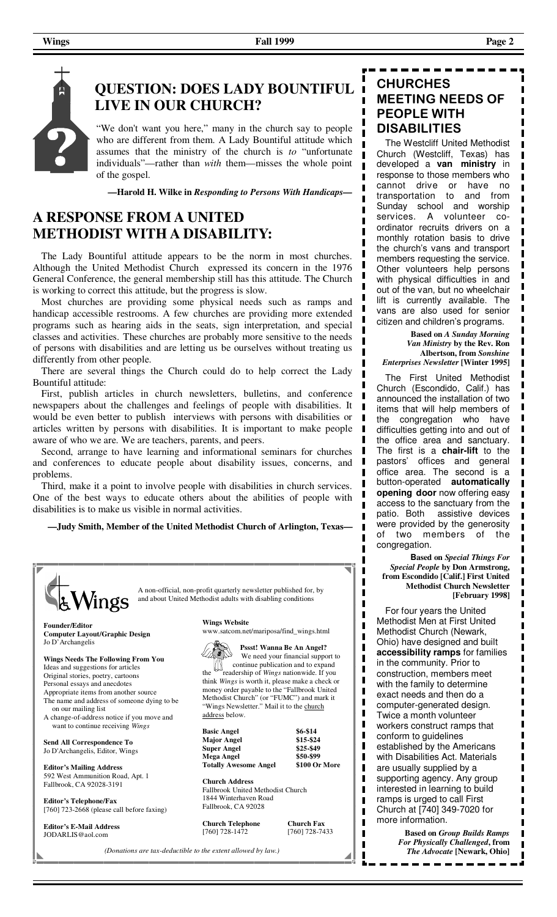# **QUESTION: DOES LADY BOUNTIFUL LIVE IN OUR CHURCH?**

"We don't want you here," many in the church say to people who are different from them. A Lady Bountiful attitude which assumes that the ministry of the church is *to* "unfortunate individuals"—rather than *with* them—misses the whole point of the gospel.

**—Harold H. Wilke in** *Responding to Persons With Handicaps—*

#### **A RESPONSE FROM A UNITED METHODIST WITH A DISABILITY:**

The Lady Bountiful attitude appears to be the norm in most churches. Although the United Methodist Church expressed its concern in the 1976 General Conference, the general membership still has this attitude. The Church is working to correct this attitude, but the progress is slow.

 Most churches are providing some physical needs such as ramps and handicap accessible restrooms. A few churches are providing more extended programs such as hearing aids in the seats, sign interpretation, and special classes and activities. These churches are probably more sensitive to the needs of persons with disabilities and are letting us be ourselves without treating us differently from other people.

 There are several things the Church could do to help correct the Lady Bountiful attitude:

 First, publish articles in church newsletters, bulletins, and conference newspapers about the challenges and feelings of people with disabilities. It would be even better to publish interviews with persons with disabilities or articles written by persons with disabilities. It is important to make people aware of who we are. We are teachers, parents, and peers.

Second, arrange to have learning and informational seminars for churches and conferences to educate people about disability issues, concerns, and problems.

Third, make it a point to involve people with disabilities in church services. One of the best ways to educate others about the abilities of people with disabilities is to make us visible in normal activities.

**—Judy Smith, Member of the United Methodist Church of Arlington, Texas—** 



#### **CHURCHES MEETING NEEDS OF PEOPLE WITH DISABILITIES**

 The Westcliff United Methodist Church (Westcliff, Texas) has developed a **van ministry** in response to those members who cannot drive or have no transportation to and from Sunday school and worship services. A volunteer coordinator recruits drivers on a monthly rotation basis to drive the church's vans and transport members requesting the service. Other volunteers help persons with physical difficulties in and out of the van, but no wheelchair lift is currently available. The vans are also used for senior citizen and children's programs.

**Based on** *A Sunday Morning Van Ministry* **by the Rev. Ron Albertson, from** *Sonshine Enterprises Newsletter* **[Winter 1995]**  п

П

П

П

I

П

 $\blacksquare$ 

п I

 The First United Methodist Church (Escondido, Calif.) has announced the installation of two items that will help members of the congregation who have difficulties getting into and out of the office area and sanctuary. The first is a **chair-lift** to the pastors' offices and general office area. The second is a button-operated **automatically opening door** now offering easy access to the sanctuary from the<br>patio. Both assistive devices assistive devices were provided by the generosity of two members of the congregation.

 **Based on** *Special Things For Special People* **by Don Armstrong, from Escondido [Calif.] First United Methodist Church Newsletter [February 1998]** 

 For four years the United Methodist Men at First United Methodist Church (Newark, Ohio) have designed and built **accessibility ramps** for families in the community. Prior to construction, members meet with the family to determine exact needs and then do a computer-generated design. Twice a month volunteer workers construct ramps that conform to guidelines established by the Americans with Disabilities Act. Materials are usually supplied by a supporting agency. Any group interested in learning to build ramps is urged to call First Church at [740] 349-7020 for more information. **Based on** *Group Builds Ramps* 

*For Physically Challenged***, from**  *The Advocate* **[Newark, Ohio]**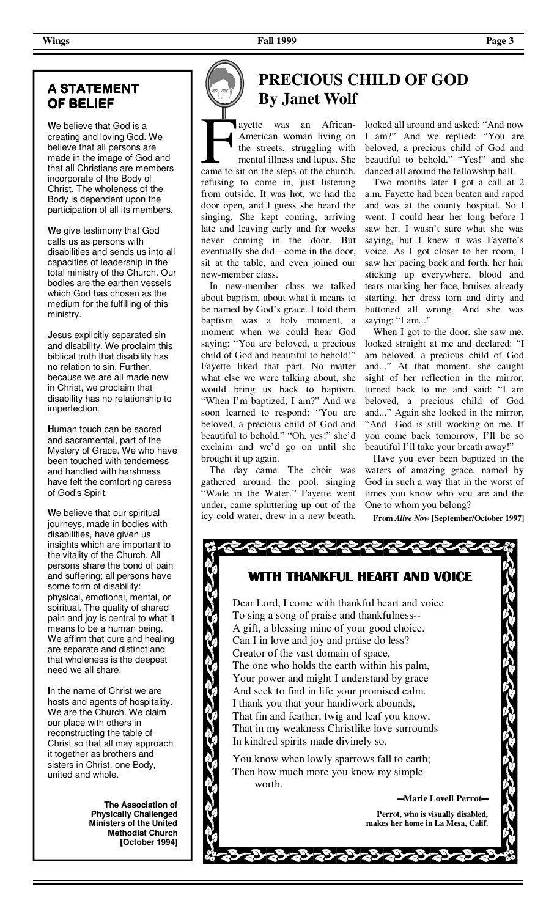#### **A STATEMENT A OF BELIEF**

**W**e believe that God is a creating and loving God. We believe that all persons are made in the image of God and that all Christians are members incorporate of the Body of Christ. The wholeness of the Body is dependent upon the participation of all its members.

**W**e give testimony that God calls us as persons with disabilities and sends us into all capacities of leadership in the total ministry of the Church. Our bodies are the earthen vessels which God has chosen as the medium for the fulfilling of this ministry.

**J**esus explicitly separated sin and disability. We proclaim this biblical truth that disability has no relation to sin. Further, because we are all made new in Christ, we proclaim that disability has no relationship to imperfection.

**H**uman touch can be sacred and sacramental, part of the Mystery of Grace. We who have been touched with tenderness and handled with harshness have felt the comforting caress of God's Spirit.

**W**e believe that our spiritual journeys, made in bodies with disabilities, have given us insights which are important to the vitality of the Church. All persons share the bond of pain and suffering; all persons have some form of disability: physical, emotional, mental, or spiritual. The quality of shared pain and joy is central to what it means to be a human being. We affirm that cure and healing are separate and distinct and that wholeness is the deepest need we all share.

**I**n the name of Christ we are hosts and agents of hospitality. We are the Church. We claim our place with others in reconstructing the table of Christ so that all may approach it together as brothers and sisters in Christ, one Body, united and whole.

> **The Association of Physically Challenged Ministers of the United Methodist Church [October 1994]**

# **PRECIOUS CHILD OF GOD By Janet Wolf**

F ayette was an African-<br>American woman living on<br>the streets, struggling with<br>mental illness and lupus. She<br>came to sit on the steps of the church, American woman living on the streets, struggling with

mental illness and lupus. She refusing to come in, just listening from outside. It was hot, we had the door open, and I guess she heard the singing. She kept coming, arriving late and leaving early and for weeks never coming in the door. But eventually she did—come in the door, sit at the table, and even joined our new-member class.

 In new-member class we talked about baptism, about what it means to be named by God's grace. I told them baptism was a holy moment, a moment when we could hear God saying: "You are beloved, a precious child of God and beautiful to behold!" Fayette liked that part. No matter what else we were talking about, she would bring us back to baptism. "When I'm baptized, I am?" And we soon learned to respond: "You are beloved, a precious child of God and beautiful to behold." "Oh, yes!" she'd exclaim and we'd go on until she brought it up again.

 The day came. The choir was gathered around the pool, singing "Wade in the Water." Fayette went under, came spluttering up out of the icy cold water, drew in a new breath,

looked all around and asked: "And now I am?" And we replied: "You are beloved, a precious child of God and beautiful to behold." "Yes!" and she danced all around the fellowship hall.

 Two months later I got a call at 2 a.m. Fayette had been beaten and raped and was at the county hospital. So I went. I could hear her long before I saw her. I wasn't sure what she was saying, but I knew it was Fayette's voice. As I got closer to her room, I saw her pacing back and forth, her hair sticking up everywhere, blood and tears marking her face, bruises already starting, her dress torn and dirty and buttoned all wrong. And she was saying: "I am..."

 When I got to the door, she saw me, looked straight at me and declared: "I am beloved, a precious child of God and..." At that moment, she caught sight of her reflection in the mirror, turned back to me and said: "I am beloved, a precious child of God and..." Again she looked in the mirror, "And God is still working on me. If you come back tomorrow, I'll be so beautiful I'll take your breath away!"

 Have you ever been baptized in the waters of amazing grace, named by God in such a way that in the worst of times you know who you are and the One to whom you belong?

**From** *Alive Now* **[September/October 1997]**